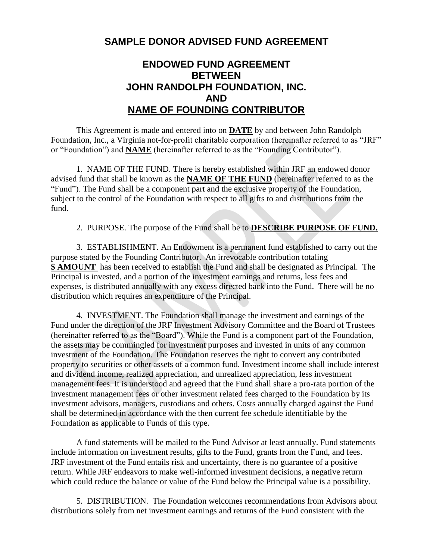## **SAMPLE DONOR ADVISED FUND AGREEMENT**

## **ENDOWED FUND AGREEMENT BETWEEN JOHN RANDOLPH FOUNDATION, INC. AND NAME OF FOUNDING CONTRIBUTOR**

This Agreement is made and entered into on **DATE** by and between John Randolph Foundation, Inc., a Virginia not-for-profit charitable corporation (hereinafter referred to as "JRF" or "Foundation") and **NAME** (hereinafter referred to as the "Founding Contributor").

1. NAME OF THE FUND. There is hereby established within JRF an endowed donor advised fund that shall be known as the **NAME OF THE FUND** (hereinafter referred to as the "Fund"). The Fund shall be a component part and the exclusive property of the Foundation, subject to the control of the Foundation with respect to all gifts to and distributions from the fund.

2. PURPOSE. The purpose of the Fund shall be to **DESCRIBE PURPOSE OF FUND.**

3. ESTABLISHMENT. An Endowment is a permanent fund established to carry out the purpose stated by the Founding Contributor. An irrevocable contribution totaling **\$ AMOUNT** has been received to establish the Fund and shall be designated as Principal. The Principal is invested, and a portion of the investment earnings and returns, less fees and expenses, is distributed annually with any excess directed back into the Fund. There will be no distribution which requires an expenditure of the Principal.

4. INVESTMENT. The Foundation shall manage the investment and earnings of the Fund under the direction of the JRF Investment Advisory Committee and the Board of Trustees (hereinafter referred to as the "Board"). While the Fund is a component part of the Foundation, the assets may be commingled for investment purposes and invested in units of any common investment of the Foundation. The Foundation reserves the right to convert any contributed property to securities or other assets of a common fund. Investment income shall include interest and dividend income, realized appreciation, and unrealized appreciation, less investment management fees. It is understood and agreed that the Fund shall share a pro-rata portion of the investment management fees or other investment related fees charged to the Foundation by its investment advisors, managers, custodians and others. Costs annually charged against the Fund shall be determined in accordance with the then current fee schedule identifiable by the Foundation as applicable to Funds of this type.

A fund statements will be mailed to the Fund Advisor at least annually. Fund statements include information on investment results, gifts to the Fund, grants from the Fund, and fees. JRF investment of the Fund entails risk and uncertainty, there is no guarantee of a positive return. While JRF endeavors to make well-informed investment decisions, a negative return which could reduce the balance or value of the Fund below the Principal value is a possibility.

5. DISTRIBUTION. The Foundation welcomes recommendations from Advisors about distributions solely from net investment earnings and returns of the Fund consistent with the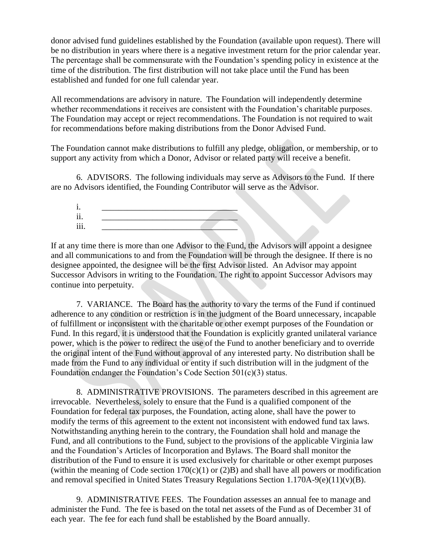donor advised fund guidelines established by the Foundation (available upon request). There will be no distribution in years where there is a negative investment return for the prior calendar year. The percentage shall be commensurate with the Foundation's spending policy in existence at the time of the distribution. The first distribution will not take place until the Fund has been established and funded for one full calendar year.

All recommendations are advisory in nature. The Foundation will independently determine whether recommendations it receives are consistent with the Foundation's charitable purposes. The Foundation may accept or reject recommendations. The Foundation is not required to wait for recommendations before making distributions from the Donor Advised Fund.

The Foundation cannot make distributions to fulfill any pledge, obligation, or membership, or to support any activity from which a Donor, Advisor or related party will receive a benefit.

6. ADVISORS. The following individuals may serve as Advisors to the Fund. If there are no Advisors identified, the Founding Contributor will serve as the Advisor.



If at any time there is more than one Advisor to the Fund, the Advisors will appoint a designee and all communications to and from the Foundation will be through the designee. If there is no designee appointed, the designee will be the first Advisor listed. An Advisor may appoint Successor Advisors in writing to the Foundation. The right to appoint Successor Advisors may continue into perpetuity.

7. VARIANCE. The Board has the authority to vary the terms of the Fund if continued adherence to any condition or restriction is in the judgment of the Board unnecessary, incapable of fulfillment or inconsistent with the charitable or other exempt purposes of the Foundation or Fund. In this regard, it is understood that the Foundation is explicitly granted unilateral variance power, which is the power to redirect the use of the Fund to another beneficiary and to override the original intent of the Fund without approval of any interested party. No distribution shall be made from the Fund to any individual or entity if such distribution will in the judgment of the Foundation endanger the Foundation's Code Section 501(c)(3) status.

8. ADMINISTRATIVE PROVISIONS. The parameters described in this agreement are irrevocable. Nevertheless, solely to ensure that the Fund is a qualified component of the Foundation for federal tax purposes, the Foundation, acting alone, shall have the power to modify the terms of this agreement to the extent not inconsistent with endowed fund tax laws. Notwithstanding anything herein to the contrary, the Foundation shall hold and manage the Fund, and all contributions to the Fund, subject to the provisions of the applicable Virginia law and the Foundation's Articles of Incorporation and Bylaws. The Board shall monitor the distribution of the Fund to ensure it is used exclusively for charitable or other exempt purposes (within the meaning of Code section  $170(c)(1)$  or  $(2)B$ ) and shall have all powers or modification and removal specified in United States Treasury Regulations Section 1.170A-9(e)(11)(v)(B).

9. ADMINISTRATIVE FEES. The Foundation assesses an annual fee to manage and administer the Fund. The fee is based on the total net assets of the Fund as of December 31 of each year. The fee for each fund shall be established by the Board annually.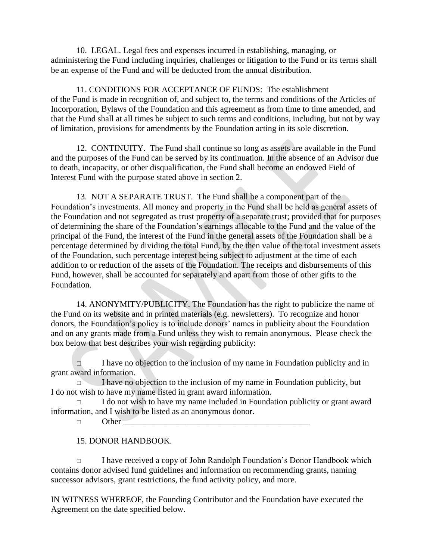10. LEGAL. Legal fees and expenses incurred in establishing, managing, or administering the Fund including inquiries, challenges or litigation to the Fund or its terms shall be an expense of the Fund and will be deducted from the annual distribution.

11. CONDITIONS FOR ACCEPTANCE OF FUNDS: The establishment of the Fund is made in recognition of, and subject to, the terms and conditions of the Articles of Incorporation, Bylaws of the Foundation and this agreement as from time to time amended, and that the Fund shall at all times be subject to such terms and conditions, including, but not by way of limitation, provisions for amendments by the Foundation acting in its sole discretion.

12. CONTINUITY. The Fund shall continue so long as assets are available in the Fund and the purposes of the Fund can be served by its continuation. In the absence of an Advisor due to death, incapacity, or other disqualification, the Fund shall become an endowed Field of Interest Fund with the purpose stated above in section 2.

13. NOT A SEPARATE TRUST. The Fund shall be a component part of the Foundation's investments. All money and property in the Fund shall be held as general assets of the Foundation and not segregated as trust property of a separate trust; provided that for purposes of determining the share of the Foundation's earnings allocable to the Fund and the value of the principal of the Fund, the interest of the Fund in the general assets of the Foundation shall be a percentage determined by dividing the total Fund, by the then value of the total investment assets of the Foundation, such percentage interest being subject to adjustment at the time of each addition to or reduction of the assets of the Foundation. The receipts and disbursements of this Fund, however, shall be accounted for separately and apart from those of other gifts to the Foundation.

14. ANONYMITY/PUBLICITY. The Foundation has the right to publicize the name of the Fund on its website and in printed materials (e.g. newsletters). To recognize and honor donors, the Foundation's policy is to include donors' names in publicity about the Foundation and on any grants made from a Fund unless they wish to remain anonymous. Please check the box below that best describes your wish regarding publicity:

 $\Box$  I have no objection to the inclusion of my name in Foundation publicity and in grant award information.

 $\Box$  I have no objection to the inclusion of my name in Foundation publicity, but I do not wish to have my name listed in grant award information.

 $\Box$  I do not wish to have my name included in Foundation publicity or grant award information, and I wish to be listed as an anonymous donor.

 $\Box$  Other

15. DONOR HANDBOOK.

□ I have received a copy of John Randolph Foundation's Donor Handbook which contains donor advised fund guidelines and information on recommending grants, naming successor advisors, grant restrictions, the fund activity policy, and more.

IN WITNESS WHEREOF, the Founding Contributor and the Foundation have executed the Agreement on the date specified below.